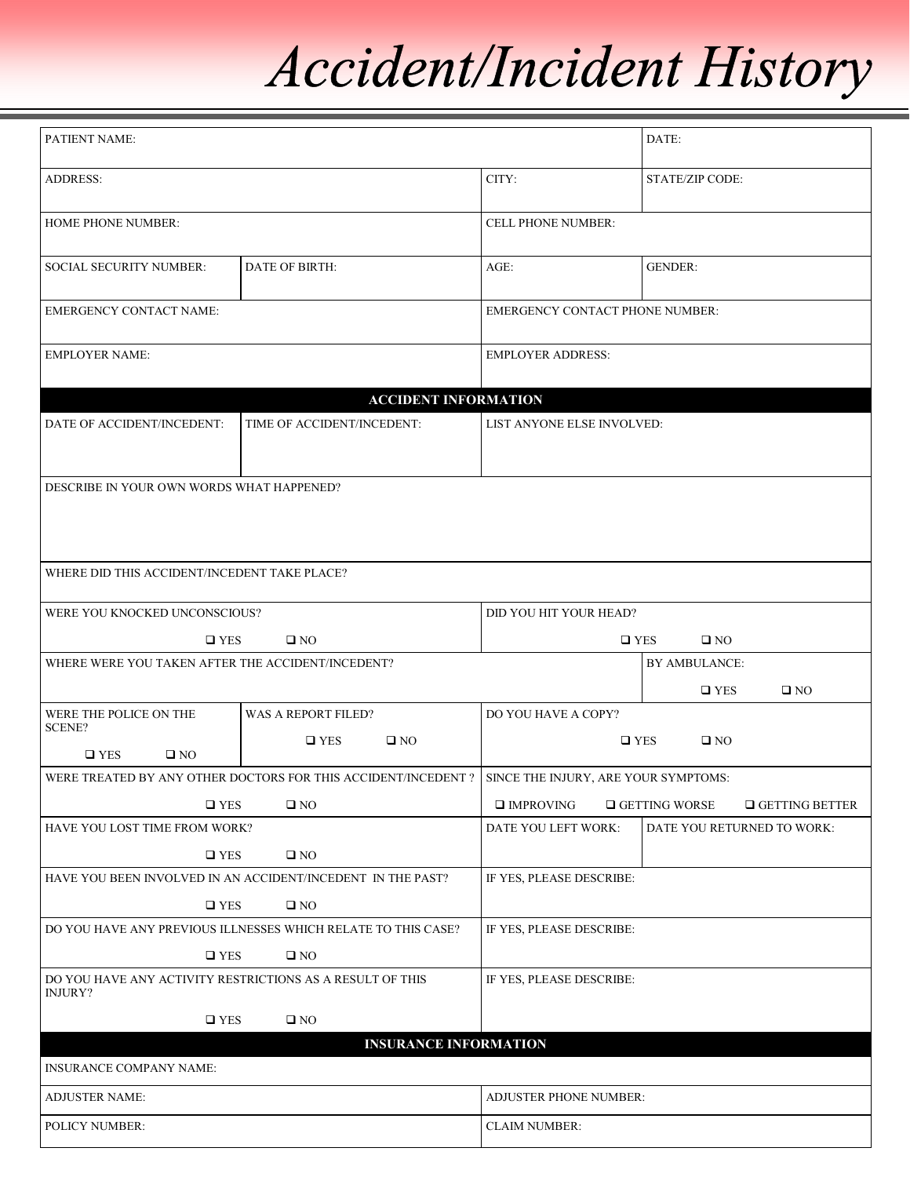## Accident/Incident History

| PATIENT NAME:                                                        |                                                               |                                        | DATE:                                         |  |
|----------------------------------------------------------------------|---------------------------------------------------------------|----------------------------------------|-----------------------------------------------|--|
| ADDRESS:                                                             |                                                               | CITY:                                  | <b>STATE/ZIP CODE:</b>                        |  |
| HOME PHONE NUMBER:                                                   |                                                               | CELL PHONE NUMBER:                     |                                               |  |
| <b>SOCIAL SECURITY NUMBER:</b>                                       | DATE OF BIRTH:                                                | $AGE$ :                                | <b>GENDER:</b>                                |  |
| <b>EMERGENCY CONTACT NAME:</b>                                       |                                                               | <b>EMERGENCY CONTACT PHONE NUMBER:</b> |                                               |  |
| <b>EMPLOYER NAME:</b>                                                |                                                               | <b>EMPLOYER ADDRESS:</b>               |                                               |  |
|                                                                      | <b>ACCIDENT INFORMATION</b>                                   |                                        |                                               |  |
| DATE OF ACCIDENT/INCEDENT:                                           | TIME OF ACCIDENT/INCEDENT:                                    | LIST ANYONE ELSE INVOLVED:             |                                               |  |
| DESCRIBE IN YOUR OWN WORDS WHAT HAPPENED?                            |                                                               |                                        |                                               |  |
| WHERE DID THIS ACCIDENT/INCEDENT TAKE PLACE?                         |                                                               |                                        |                                               |  |
| WERE YOU KNOCKED UNCONSCIOUS?                                        |                                                               | DID YOU HIT YOUR HEAD?                 |                                               |  |
| $\square$ YES                                                        | $\square$ NO                                                  | $\square$ YES<br>$\square$ NO          |                                               |  |
| WHERE WERE YOU TAKEN AFTER THE ACCIDENT/INCEDENT?                    |                                                               |                                        | BY AMBULANCE:                                 |  |
|                                                                      |                                                               |                                        | $\square$ YES<br>$\square$ NO                 |  |
| WERE THE POLICE ON THE                                               | <b>WAS A REPORT FILED?</b>                                    | DO YOU HAVE A COPY?                    |                                               |  |
| <b>SCENE?</b>                                                        | $\square$ YES<br>$\square$ NO                                 |                                        | $\square$ NO<br>$\square$ YES                 |  |
| $\square$ YES<br>$\square$ NO                                        |                                                               |                                        |                                               |  |
|                                                                      | WERE TREATED BY ANY OTHER DOCTORS FOR THIS ACCIDENT/INCEDENT? | SINCE THE INJURY, ARE YOUR SYMPTOMS:   |                                               |  |
| $\square$ YES                                                        | $\square$ NO                                                  | $\square$ IMPROVING                    | $\Box$ GETTING BETTER<br>$\Box$ GETTING WORSE |  |
| HAVE YOU LOST TIME FROM WORK?                                        |                                                               | DATE YOU LEFT WORK:                    | DATE YOU RETURNED TO WORK:                    |  |
| $\square$ YES                                                        | $\square$ NO                                                  |                                        |                                               |  |
| HAVE YOU BEEN INVOLVED IN AN ACCIDENT/INCEDENT IN THE PAST?          |                                                               | IF YES, PLEASE DESCRIBE:               |                                               |  |
| $\square$ YES<br>$\square$ NO                                        |                                                               |                                        |                                               |  |
| DO YOU HAVE ANY PREVIOUS ILLNESSES WHICH RELATE TO THIS CASE?        |                                                               | IF YES, PLEASE DESCRIBE:               |                                               |  |
| $\square$ YES<br>$\square$ NO                                        |                                                               |                                        |                                               |  |
| DO YOU HAVE ANY ACTIVITY RESTRICTIONS AS A RESULT OF THIS<br>INJURY? |                                                               | IF YES, PLEASE DESCRIBE:               |                                               |  |
| $\square$ YES                                                        | $\square$ NO                                                  |                                        |                                               |  |
|                                                                      | <b>INSURANCE INFORMATION</b>                                  |                                        |                                               |  |
| <b>INSURANCE COMPANY NAME:</b>                                       |                                                               |                                        |                                               |  |
| <b>ADJUSTER NAME:</b>                                                |                                                               | <b>ADJUSTER PHONE NUMBER:</b>          |                                               |  |
| POLICY NUMBER:                                                       |                                                               | <b>CLAIM NUMBER:</b>                   |                                               |  |